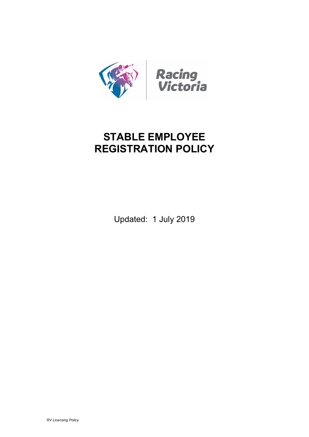

# **STABLE EMPLOYEE REGISTRATION POLICY**

Updated: 1 July 2019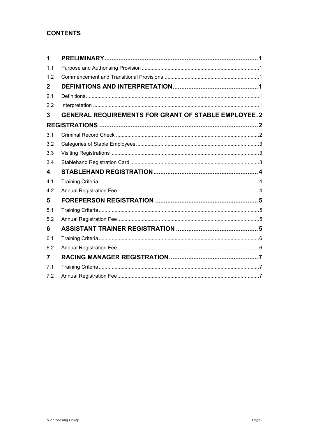## **CONTENTS**

| <b>GENERAL REQUIREMENTS FOR GRANT OF STABLE EMPLOYEE.2</b> |
|------------------------------------------------------------|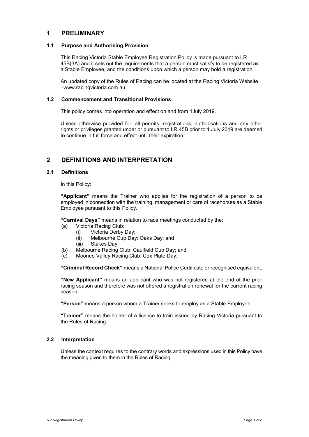## <span id="page-2-0"></span>**1 PRELIMINARY**

### <span id="page-2-1"></span>**1.1 Purpose and Authorising Provision**

This Racing Victoria Stable Employee Registration Policy is made pursuant to LR 45B(3A) and it sets out the requirements that a person must satisfy to be registered as a Stable Employee, and the conditions upon which a person may hold a registration.

An updated copy of the Rules of Racing can be located at the Racing Victoria Website –www.racingvictoria.com.au

### <span id="page-2-2"></span>**1.2 Commencement and Transitional Provisions**

This policy comes into operation and effect on and from 1July 2019.

Unless otherwise provided for, all permits, registrations, authorisations and any other rights or privileges granted under or pursuant to LR 45B prior to 1 July 2019 are deemed to continue in full force and effect until their expiration.

## <span id="page-2-3"></span>**2 DEFINITIONS AND INTERPRETATION**

### <span id="page-2-4"></span>**2.1 Definitions**

In this Policy:

**"Applicant"** means the Trainer who applies for the registration of a person to be employed in connection with the training, management or care of racehorses as a Stable Employee pursuant to this Policy.

**"Carnival Days"** means in relation to race meetings conducted by the:

- (a) Victoria Racing Club:
	- (i) Victoria Derby Day;
	- Melbourne Cup Day; Oaks Day; and
	- (iii) Stakes Day;
- (b) Melbourne Racing Club: Caulfield Cup Day; and
- (c) Moonee Valley Racing Club: Cox Plate Day.

**"Criminal Record Check"** means a National Police Certificate or recognised equivalent.

**"New Applicant"** means an applicant who was not registered at the end of the prior racing season and therefore was not offered a registration renewal for the current racing season.

**"Person"** means a person whom a Trainer seeks to employ as a Stable Employee.

**"Trainer"** means the holder of a licence to train issued by Racing Victoria pursuant to the Rules of Racing.

## <span id="page-2-5"></span>**2.2 Interpretation**

Unless the context requires to the contrary words and expressions used in this Policy have the meaning given to them in the Rules of Racing.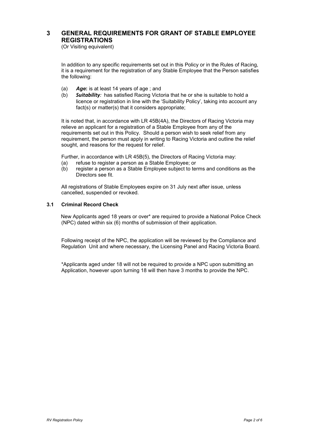## <span id="page-3-1"></span><span id="page-3-0"></span>**3 GENERAL REQUIREMENTS FOR GRANT OF STABLE EMPLOYEE REGISTRATIONS**

(Or Visiting equivalent)

In addition to any specific requirements set out in this Policy or in the Rules of Racing, it is a requirement for the registration of any Stable Employee that the Person satisfies the following:

- (a) *Age***:** is at least 14 years of age ; and
- (b) *Suitability:* has satisfied Racing Victoria that he or she is suitable to hold a licence or registration in line with the 'Suitability Policy', taking into account any fact(s) or matter(s) that it considers appropriate;

It is noted that, in accordance with LR 45B(4A), the Directors of Racing Victoria may relieve an applicant for a registration of a Stable Employee from any of the requirements set out in this Policy. Should a person wish to seek relief from any requirement, the person must apply in writing to Racing Victoria and outline the relief sought, and reasons for the request for relief.

Further, in accordance with LR 45B(5), the Directors of Racing Victoria may:

- (a) refuse to register a person as a Stable Employee; or
- (b) register a person as a Stable Employee subject to terms and conditions as the Directors see fit.

All registrations of Stable Employees expire on 31 July next after issue, unless cancelled, suspended or revoked.

## <span id="page-3-2"></span>**3.1 Criminal Record Check**

 New Applicants aged 18 years or over\* are required to provide a National Police Check (NPC) dated within six (6) months of submission of their application.

Following receipt of the NPC, the application will be reviewed by the Compliance and Regulation Unit and where necessary, the Licensing Panel and Racing Victoria Board.

\*Applicants aged under 18 will not be required to provide a NPC upon submitting an Application, however upon turning 18 will then have 3 months to provide the NPC.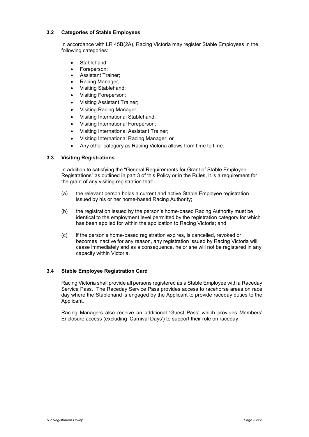## <span id="page-4-0"></span>**3.2 Categories of Stable Employees**

In accordance with LR 45B(2A), Racing Victoria may register Stable Employees in the following categories:

- Stablehand;
- Foreperson:
- Assistant Trainer;
- Racing Manager;
- Visiting Stablehand;
- Visiting Foreperson;
- Visiting Assistant Trainer;
- Visiting Racing Manager;
- Visiting International Stablehand;
- Visiting International Foreperson:
- Visiting International Assistant Trainer;
- Visiting International Racing Manager; or
- Any other category as Racing Victoria allows from time to time.

### <span id="page-4-1"></span>**3.3 Visiting Registrations**

In addition to satisfying the "General Requirements for Grant of Stable Employee Registrations" as outlined in part 3 of this Policy or in the Rules, it is a requirement for the grant of any visiting registration that:

- (a) the relevant person holds a current and active Stable Employee registration issued by his or her home-based Racing Authority;
- (b) the registration issued by the person's home-based Racing Authority must be identical to the employment level permitted by the registration category for which has been applied for within the application to Racing Victoria; and
- (c) if the person's home-based registration expires, is cancelled, revoked or becomes inactive for any reason, any registration issued by Racing Victoria will cease immediately and as a consequence, he or she will not be registered in any capacity within Victoria.

### <span id="page-4-2"></span>**3.4 Stable Employee Registration Card**

Racing Victoria shall provide all persons registered as a Stable Employee with a Raceday Service Pass. The Raceday Service Pass provides access to racehorse areas on race day where the Stablehand is engaged by the Applicant to provide raceday duties to the Applicant.

Racing Managers also receive an additional 'Guest Pass' which provides Members' Enclosure access (excluding 'Carnival Days') to support their role on raceday.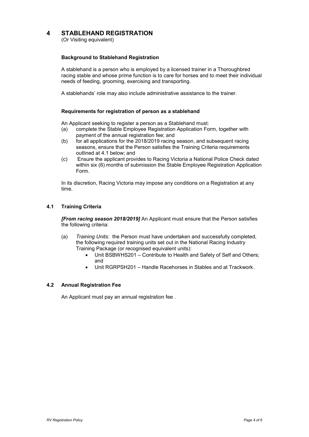## <span id="page-5-0"></span>**4 STABLEHAND REGISTRATION**

(Or Visiting equivalent)

## **Background to Stablehand Registration**

A stablehand is a person who is employed by a licensed trainer in a Thoroughbred racing stable and whose prime function is to care for horses and to meet their individual needs of feeding, grooming, exercising and transporting.

A stablehands' role may also include administrative assistance to the trainer.

## **Requirements for registration of person as a stablehand**

An Applicant seeking to register a person as a Stablehand must:

- (a) complete the Stable Employee Registration Application Form, together with payment of the annual registration fee; and
- (b) for all applications for the 2018/2019 racing season, and subsequent racing seasons, ensure that the Person satisfies the Training Criteria requirements outlined at 4.1 below; and
- (c) Ensure the applicant provides to Racing Victoria a National Police Check dated within six (6) months of submission the Stable Employee Registration Application Form.

In its discretion, Racing Victoria may impose any conditions on a Registration at any time.

## <span id="page-5-1"></span>**4.1 Training Criteria**

*[From racing season 2018/2019]* An Applicant must ensure that the Person satisfies the following criteria:

- (a) *Training Units:* the Person must have undertaken and successfully completed, the following required training units set out in the National Racing Industry Training Package (or recognised equivalent units):
	- Unit BSBWHS201 Contribute to Health and Safety of Self and Others; and
	- Unit RGRPSH201 Handle Racehorses in Stables and at Trackwork.

### <span id="page-5-2"></span>**4.2 Annual Registration Fee**

An Applicant must pay an annual registration fee .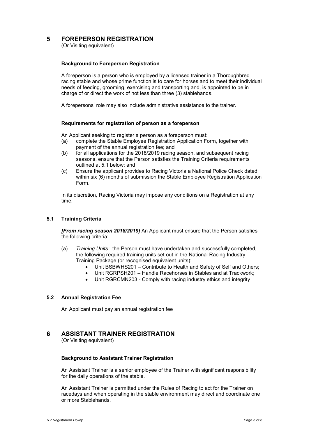## <span id="page-6-0"></span>**5 FOREPERSON REGISTRATION**

(Or Visiting equivalent)

## **Background to Foreperson Registration**

A foreperson is a person who is employed by a licensed trainer in a Thoroughbred racing stable and whose prime function is to care for horses and to meet their individual needs of feeding, grooming, exercising and transporting and, is appointed to be in charge of or direct the work of not less than three (3) stablehands.

A forepersons' role may also include administrative assistance to the trainer.

## **Requirements for registration of person as a foreperson**

An Applicant seeking to register a person as a foreperson must:

- (a) complete the Stable Employee Registration Application Form, together with payment of the annual registration fee; and
- (b) for all applications for the 2018/2019 racing season, and subsequent racing seasons, ensure that the Person satisfies the Training Criteria requirements outlined at 5.1 below; and
- (c) Ensure the applicant provides to Racing Victoria a National Police Check dated within six (6) months of submission the Stable Employee Registration Application Form.

In its discretion, Racing Victoria may impose any conditions on a Registration at any time.

## <span id="page-6-1"></span>**5.1 Training Criteria**

*[From racing season 2018/2019]* An Applicant must ensure that the Person satisfies the following criteria:

- (a) *Training Units:* the Person must have undertaken and successfully completed, the following required training units set out in the National Racing Industry Training Package (or recognised equivalent units):
	- Unit BSBWHS201 Contribute to Health and Safety of Self and Others;
	- Unit RGRPSH201 Handle Racehorses in Stables and at Trackwork;
	- Unit RGRCMN203 Comply with racing industry ethics and integrity

## <span id="page-6-2"></span>**5.2 Annual Registration Fee**

An Applicant must pay an annual registration fee

## <span id="page-6-3"></span>**6 ASSISTANT TRAINER REGISTRATION**

(Or Visiting equivalent)

### **Background to Assistant Trainer Registration**

An Assistant Trainer is a senior employee of the Trainer with significant responsibility for the daily operations of the stable.

An Assistant Trainer is permitted under the Rules of Racing to act for the Trainer on racedays and when operating in the stable environment may direct and coordinate one or more Stablehands.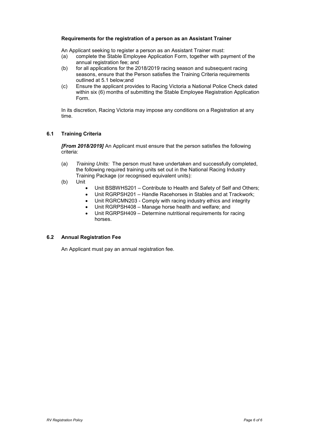## **Requirements for the registration of a person as an Assistant Trainer**

An Applicant seeking to register a person as an Assistant Trainer must:

- (a) complete the Stable Employee Application Form, together with payment of the annual registration fee; and
- (b) for all applications for the 2018/2019 racing season and subsequent racing seasons, ensure that the Person satisfies the Training Criteria requirements outlined at 5.1 below;and
- (c) Ensure the applicant provides to Racing Victoria a National Police Check dated within six (6) months of submitting the Stable Employee Registration Application Form.

In its discretion, Racing Victoria may impose any conditions on a Registration at any time.

## <span id="page-7-0"></span>**6.1 Training Criteria**

*[From 2018/2019]* An Applicant must ensure that the person satisfies the following criteria:

- (a) *Training Units:* The person must have undertaken and successfully completed, the following required training units set out in the National Racing Industry Training Package (or recognised equivalent units):
- (b) Unit
	- Unit BSBWHS201 Contribute to Health and Safety of Self and Others;
	- Unit RGRPSH201 Handle Racehorses in Stables and at Trackwork;
	- Unit RGRCMN203 Comply with racing industry ethics and integrity
	- Unit RGRPSH408 Manage horse health and welfare; and
	- Unit RGRPSH409 Determine nutritional requirements for racing horses.

## <span id="page-7-1"></span>**6.2 Annual Registration Fee**

An Applicant must pay an annual registration fee.